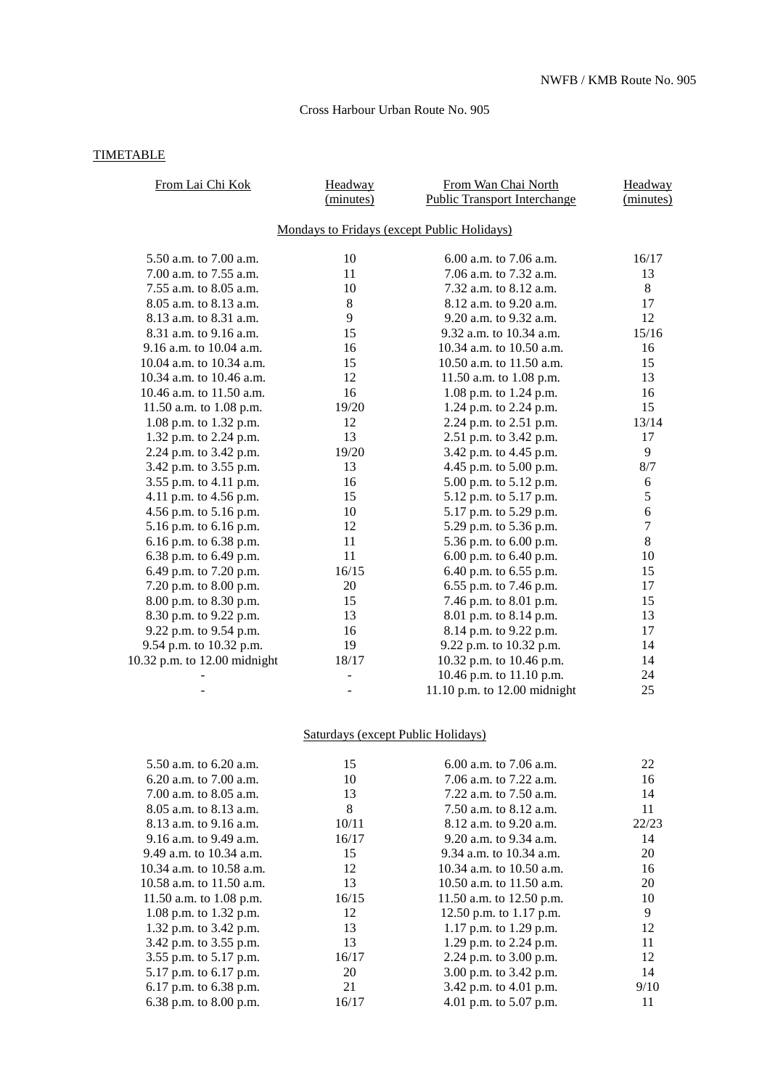## Cross Harbour Urban Route No. 905

## **TIMETABLE**

| From Lai Chi Kok             | Headway<br>(minutes)                        | From Wan Chai North<br><b>Public Transport Interchange</b> | Headway<br>(minutes) |
|------------------------------|---------------------------------------------|------------------------------------------------------------|----------------------|
|                              | Mondays to Fridays (except Public Holidays) |                                                            |                      |
| 5.50 a.m. to 7.00 a.m.       | 10                                          | $6.00$ a.m. to 7.06 a.m.                                   | 16/17                |
| 7.00 a.m. to 7.55 a.m.       | 11                                          | 7.06 a.m. to 7.32 a.m.                                     | 13                   |
| 7.55 a.m. to 8.05 a.m.       | 10                                          | 7.32 a.m. to 8.12 a.m.                                     | 8                    |
| 8.05 a.m. to 8.13 a.m.       | 8                                           | 8.12 a.m. to 9.20 a.m.                                     | 17                   |
| 8.13 a.m. to 8.31 a.m.       | 9                                           | 9.20 a.m. to 9.32 a.m.                                     | 12                   |
| 8.31 a.m. to 9.16 a.m.       | 15                                          | 9.32 a.m. to 10.34 a.m.                                    | 15/16                |
| 9.16 a.m. to 10.04 a.m.      | 16                                          | 10.34 a.m. to 10.50 a.m.                                   | 16                   |
| 10.04 a.m. to 10.34 a.m.     | 15                                          | 10.50 a.m. to 11.50 a.m.                                   | 15                   |
| 10.34 a.m. to 10.46 a.m.     | 12                                          | 11.50 a.m. to 1.08 p.m.                                    | 13                   |
| 10.46 a.m. to 11.50 a.m.     | 16                                          | 1.08 p.m. to 1.24 p.m.                                     | 16                   |
| 11.50 a.m. to 1.08 p.m.      | 19/20                                       | 1.24 p.m. to 2.24 p.m.                                     | 15                   |
| 1.08 p.m. to 1.32 p.m.       | 12                                          | 2.24 p.m. to 2.51 p.m.                                     | 13/14                |
| 1.32 p.m. to 2.24 p.m.       | 13                                          | 2.51 p.m. to 3.42 p.m.                                     | 17                   |
| 2.24 p.m. to 3.42 p.m.       | 19/20                                       | 3.42 p.m. to 4.45 p.m.                                     | 9                    |
| 3.42 p.m. to 3.55 p.m.       | 13                                          | 4.45 p.m. to 5.00 p.m.                                     | 8/7                  |
| 3.55 p.m. to 4.11 p.m.       | 16                                          | 5.00 p.m. to 5.12 p.m.                                     | 6                    |
| 4.11 p.m. to 4.56 p.m.       | 15                                          | 5.12 p.m. to 5.17 p.m.                                     | 5                    |
| 4.56 p.m. to 5.16 p.m.       | 10                                          | 5.17 p.m. to 5.29 p.m.                                     | 6                    |
| 5.16 p.m. to 6.16 p.m.       | 12                                          | 5.29 p.m. to 5.36 p.m.                                     | $\overline{7}$       |
| 6.16 p.m. to 6.38 p.m.       | 11                                          | 5.36 p.m. to 6.00 p.m.                                     | 8                    |
| 6.38 p.m. to 6.49 p.m.       | 11                                          | 6.00 p.m. to 6.40 p.m.                                     | 10                   |
| 6.49 p.m. to 7.20 p.m.       | 16/15                                       | 6.40 p.m. to 6.55 p.m.                                     | 15                   |
| 7.20 p.m. to 8.00 p.m.       | 20                                          | 6.55 p.m. to 7.46 p.m.                                     | 17                   |
| 8.00 p.m. to 8.30 p.m.       | 15                                          | 7.46 p.m. to 8.01 p.m.                                     | 15                   |
| 8.30 p.m. to 9.22 p.m.       | 13                                          | 8.01 p.m. to 8.14 p.m.                                     | 13                   |
| 9.22 p.m. to 9.54 p.m.       | 16                                          | 8.14 p.m. to 9.22 p.m.                                     | 17                   |
| 9.54 p.m. to 10.32 p.m.      | 19                                          | 9.22 p.m. to 10.32 p.m.                                    | 14                   |
| 10.32 p.m. to 12.00 midnight | 18/17                                       | 10.32 p.m. to 10.46 p.m.                                   | 14                   |
|                              |                                             | 10.46 p.m. to 11.10 p.m.                                   | 24                   |
|                              |                                             | 11.10 p.m. to 12.00 midnight                               | 25                   |
|                              |                                             |                                                            |                      |

## Saturdays (except Public Holidays)

| 5.50 a.m. to 6.20 a.m.     | 15    | 6.00 a.m. to $7.06$ a.m.   | 22    |
|----------------------------|-------|----------------------------|-------|
| 6.20 a.m. to $7.00$ a.m.   | 10    | 7.06 a.m. to 7.22 a.m.     | 16    |
| 7.00 a.m. to 8.05 a.m.     | 13    | 7.22 a.m. to $7.50$ a.m.   | 14    |
| $8.05$ a.m. to $8.13$ a.m. | 8     | 7.50 a.m. to $8.12$ a.m.   | 11    |
| 8.13 a.m. to 9.16 a.m.     | 10/11 | 8.12 a.m. to 9.20 a.m.     | 22/23 |
| 9.16 a.m. to 9.49 a.m.     | 16/17 | 9.20 a.m. to 9.34 a.m.     | 14    |
| 9.49 a.m. to $10.34$ a.m.  | 15    | 9.34 a.m. to $10.34$ a.m.  | 20    |
| 10.34 a.m. to 10.58 a.m.   | 12    | 10.34 a.m. to $10.50$ a.m. | 16    |
| 10.58 a.m. to 11.50 a.m.   | 13    | 10.50 a.m. to $11.50$ a.m. | 20    |
| 11.50 a.m. to $1.08$ p.m.  | 16/15 | 11.50 a.m. to 12.50 p.m.   | 10    |
| 1.08 p.m. to 1.32 p.m.     | 12    | 12.50 p.m. to $1.17$ p.m.  | 9     |
| 1.32 p.m. to 3.42 p.m.     | 13    | 1.17 p.m. to 1.29 p.m.     | 12    |
| 3.42 p.m. to 3.55 p.m.     | 13    | 1.29 p.m. to 2.24 p.m.     | 11    |
| 3.55 p.m. to 5.17 p.m.     | 16/17 | 2.24 p.m. to $3.00$ p.m.   | 12    |
| 5.17 p.m. to 6.17 p.m.     | 20    | 3.00 p.m. to 3.42 p.m.     | 14    |
| 6.17 p.m. to $6.38$ p.m.   | 21    | 3.42 p.m. to 4.01 p.m.     | 9/10  |
| 6.38 p.m. to $8.00$ p.m.   | 16/17 | 4.01 p.m. to $5.07$ p.m.   | 11    |
|                            |       |                            |       |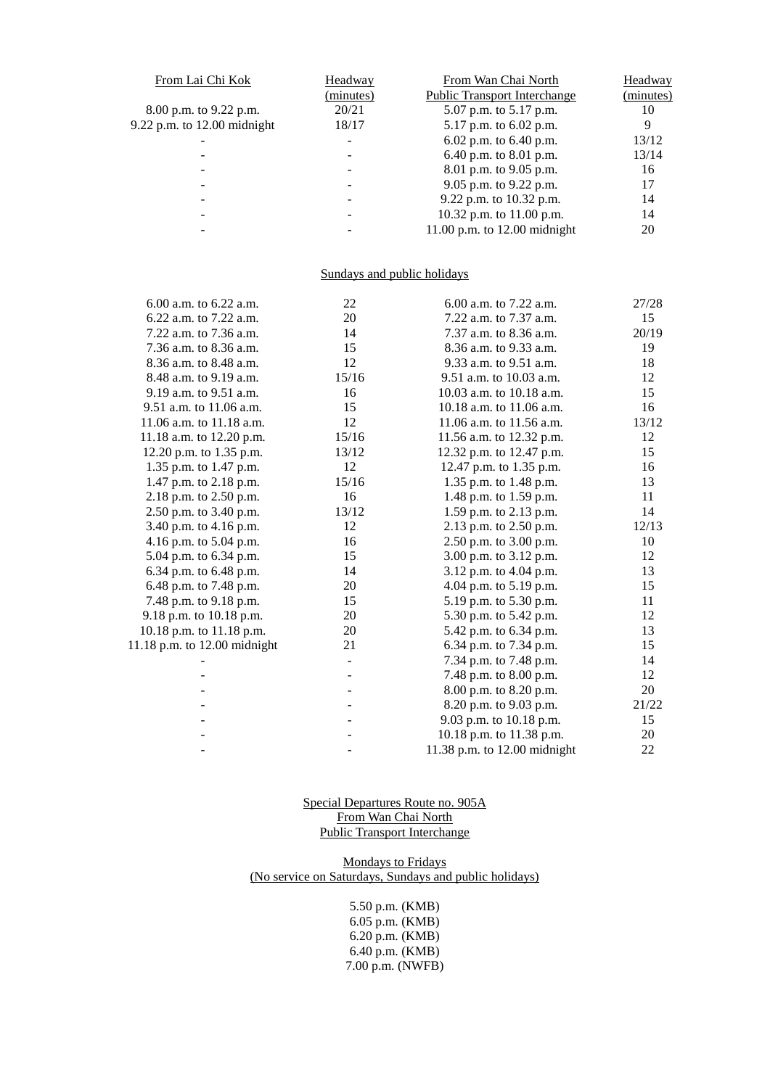| From Lai Chi Kok              | Headway                  | From Wan Chai North                 | Headway   |
|-------------------------------|--------------------------|-------------------------------------|-----------|
|                               | (minutes)                | <b>Public Transport Interchange</b> | (minutes) |
| 8.00 p.m. to 9.22 p.m.        | 20/21                    | 5.07 p.m. to 5.17 p.m.              | 10        |
| $9.22$ p.m. to 12.00 midnight | 18/17                    | 5.17 p.m. to 6.02 p.m.              | 9         |
|                               | $\overline{\phantom{a}}$ | 6.02 p.m. to $6.40$ p.m.            | 13/12     |
|                               |                          | 6.40 p.m. to 8.01 p.m.              | 13/14     |
|                               |                          | 8.01 p.m. to 9.05 p.m.              | 16        |
| $\overline{\phantom{a}}$      | $\overline{\phantom{a}}$ | 9.05 p.m. to 9.22 p.m.              | 17        |
|                               |                          | 9.22 p.m. to 10.32 p.m.             | 14        |
| -                             | $\overline{\phantom{a}}$ | 10.32 p.m. to 11.00 p.m.            | 14        |
|                               |                          | 11.00 p.m. to $12.00$ midnight      | 20        |

## Sundays and public holidays

| 6.00 a.m. to 6.22 a.m.       | 22    | 6.00 a.m. to 7.22 a.m.       | 27/28 |
|------------------------------|-------|------------------------------|-------|
| 6.22 a.m. to 7.22 a.m.       | 20    | 7.22 a.m. to 7.37 a.m.       | 15    |
| 7.22 a.m. to 7.36 a.m.       | 14    | 7.37 a.m. to 8.36 a.m.       | 20/19 |
| 7.36 a.m. to 8.36 a.m.       | 15    | 8.36 a.m. to 9.33 a.m.       | 19    |
| 8.36 a.m. to 8.48 a.m.       | 12    | 9.33 a.m. to 9.51 a.m.       | 18    |
| 8.48 a.m. to 9.19 a.m.       | 15/16 | 9.51 a.m. to 10.03 a.m.      | 12    |
| 9.19 a.m. to 9.51 a.m.       | 16    | 10.03 a.m. to 10.18 a.m.     | 15    |
| 9.51 a.m. to 11.06 a.m.      | 15    | 10.18 a.m. to 11.06 a.m.     | 16    |
| 11.06 a.m. to 11.18 a.m.     | 12    | 11.06 a.m. to 11.56 a.m.     | 13/12 |
| 11.18 a.m. to 12.20 p.m.     | 15/16 | 11.56 a.m. to 12.32 p.m.     | 12    |
| 12.20 p.m. to 1.35 p.m.      | 13/12 | 12.32 p.m. to 12.47 p.m.     | 15    |
| 1.35 p.m. to 1.47 p.m.       | 12    | 12.47 p.m. to 1.35 p.m.      | 16    |
| 1.47 p.m. to 2.18 p.m.       | 15/16 | 1.35 p.m. to 1.48 p.m.       | 13    |
| 2.18 p.m. to 2.50 p.m.       | 16    | 1.48 p.m. to 1.59 p.m.       | 11    |
| 2.50 p.m. to 3.40 p.m.       | 13/12 | 1.59 p.m. to 2.13 p.m.       | 14    |
| 3.40 p.m. to 4.16 p.m.       | 12    | 2.13 p.m. to 2.50 p.m.       | 12/13 |
| 4.16 p.m. to 5.04 p.m.       | 16    | 2.50 p.m. to 3.00 p.m.       | 10    |
| 5.04 p.m. to 6.34 p.m.       | 15    | 3.00 p.m. to 3.12 p.m.       | 12    |
| 6.34 p.m. to 6.48 p.m.       | 14    | 3.12 p.m. to 4.04 p.m.       | 13    |
| 6.48 p.m. to 7.48 p.m.       | 20    | 4.04 p.m. to 5.19 p.m.       | 15    |
| 7.48 p.m. to 9.18 p.m.       | 15    | 5.19 p.m. to 5.30 p.m.       | 11    |
| 9.18 p.m. to 10.18 p.m.      | 20    | 5.30 p.m. to 5.42 p.m.       | 12    |
| 10.18 p.m. to 11.18 p.m.     | 20    | 5.42 p.m. to 6.34 p.m.       | 13    |
| 11.18 p.m. to 12.00 midnight | 21    | 6.34 p.m. to 7.34 p.m.       | 15    |
|                              |       | 7.34 p.m. to 7.48 p.m.       | 14    |
|                              |       | 7.48 p.m. to 8.00 p.m.       | 12    |
|                              |       | 8.00 p.m. to 8.20 p.m.       | 20    |
|                              |       | 8.20 p.m. to 9.03 p.m.       | 21/22 |
|                              |       | 9.03 p.m. to 10.18 p.m.      | 15    |
|                              |       | 10.18 p.m. to 11.38 p.m.     | 20    |
|                              |       | 11.38 p.m. to 12.00 midnight | 22    |
|                              |       |                              |       |

Special Departures Route no. 905A From Wan Chai North Public Transport Interchange

Mondays to Fridays (No service on Saturdays, Sundays and public holidays)

> 5.50 p.m. (KMB) 6.05 p.m. (KMB) 6.20 p.m. (KMB) 6.40 p.m. (KMB) 7.00 p.m. (NWFB)